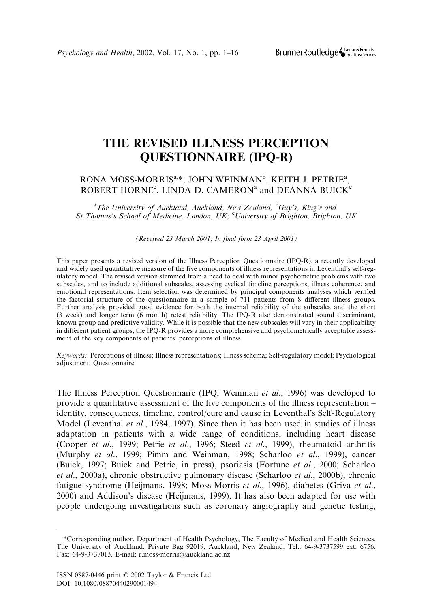# THE REVISED ILLNESS PERCEPTION QUESTIONNAIRE (IPQ-R)

## RONA MOSS-MORRIS<sup>a,\*</sup>, JOHN WEINMAN<sup>b</sup>, KEITH J. PETRIE<sup>a</sup>, ROBERT HORNE<sup>c</sup>, LINDA D. CAMERON<sup>a</sup> and DEANNA BUICK<sup>c</sup>

<sup>a</sup>The University of Auckland, Auckland, New Zealand; <sup>b</sup>Guy's, King's and St Thomas's School of Medicine, London, UK;  $\textdegree$ University of Brighton, Brighton, UK

(Received 23 March 2001; In final form 23 April 2001)

This paper presents a revised version of the Illness Perception Questionnaire (IPQ-R), a recently developed and widely used quantitative measure of the five components of illness representations in Leventhal's self-regulatory model. The revised version stemmed from a need to deal with minor psychometric problems with two subscales, and to include additional subscales, assessing cyclical timeline perceptions, illness coherence, and emotional representations. Item selection was determined by principal components analyses which verified the factorial structure of the questionnaire in a sample of 711 patients from 8 different illness groups. Further analysis provided good evidence for both the internal reliability of the subscales and the short (3 week) and longer term (6 month) retest reliability. The IPQ-R also demonstrated sound discriminant, known group and predictive validity. While it is possible that the new subscales will vary in their applicability in different patient groups, the IPQ-R provides a more comprehensive and psychometrically acceptable assessment of the key components of patients' perceptions of illness.

Keywords: Perceptions of illness; Illness representations; Illness schema; Self-regulatory model; Psychological adjustment; Questionnaire

The Illness Perception Questionnaire (IPQ; Weinman et al., 1996) was developed to provide a quantitative assessment of the five components of the illness representation – identity, consequences, timeline, control/cure and cause in Leventhal's Self-Regulatory Model (Leventhal *et al.*, 1984, 1997). Since then it has been used in studies of illness adaptation in patients with a wide range of conditions, including heart disease (Cooper et al., 1999; Petrie et al., 1996; Steed et al., 1999), rheumatoid arthritis (Murphy et al., 1999; Pimm and Weinman, 1998; Scharloo et al., 1999), cancer (Buick, 1997; Buick and Petrie, in press), psoriasis (Fortune et al., 2000; Scharloo et al., 2000a), chronic obstructive pulmonary disease (Scharloo et al., 2000b), chronic fatigue syndrome (Heijmans, 1998; Moss-Morris et al., 1996), diabetes (Griva et al., 2000) and Addison's disease (Heijmans, 1999). It has also been adapted for use with people undergoing investigations such as coronary angiography and genetic testing,

<sup>\*</sup>Corresponding author. Department of Health Psychology, The Faculty of Medical and Health Sciences, The University of Auckland, Private Bag 92019, Auckland, New Zealand. Tel.: 64-9-3737599 ext. 6756. Fax: 64-9-3737013. E-mail: r.moss-morris@auckland.ac.nz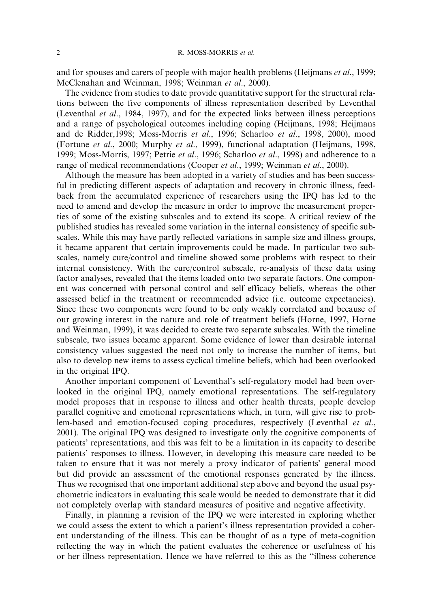and for spouses and carers of people with major health problems (Heijmans et al., 1999; McClenahan and Weinman, 1998; Weinman et al., 2000).

The evidence from studies to date provide quantitative support for the structural relations between the five components of illness representation described by Leventhal (Leventhal et al., 1984, 1997), and for the expected links between illness perceptions and a range of psychological outcomes including coping (Heijmans, 1998; Heijmans and de Ridder,1998; Moss-Morris et al., 1996; Scharloo et al., 1998, 2000), mood (Fortune et al., 2000; Murphy et al., 1999), functional adaptation (Heijmans, 1998, 1999; Moss-Morris, 1997; Petrie et al., 1996; Scharloo et al., 1998) and adherence to a range of medical recommendations (Cooper et al., 1999; Weinman et al., 2000).

Although the measure has been adopted in a variety of studies and has been successful in predicting different aspects of adaptation and recovery in chronic illness, feedback from the accumulated experience of researchers using the IPQ has led to the need to amend and develop the measure in order to improve the measurement properties of some of the existing subscales and to extend its scope. A critical review of the published studies has revealed some variation in the internal consistency of specific subscales. While this may have partly reflected variations in sample size and illness groups, it became apparent that certain improvements could be made. In particular two subscales, namely cure/control and timeline showed some problems with respect to their internal consistency. With the cure/control subscale, re-analysis of these data using factor analyses, revealed that the items loaded onto two separate factors. One component was concerned with personal control and self efficacy beliefs, whereas the other assessed belief in the treatment or recommended advice (i.e. outcome expectancies). Since these two components were found to be only weakly correlated and because of our growing interest in the nature and role of treatment beliefs (Horne, 1997, Horne and Weinman, 1999), it was decided to create two separate subscales. With the timeline subscale, two issues became apparent. Some evidence of lower than desirable internal consistency values suggested the need not only to increase the number of items, but also to develop new items to assess cyclical timeline beliefs, which had been overlooked in the original IPQ.

Another important component of Leventhal's self-regulatory model had been overlooked in the original IPQ, namely emotional representations. The self-regulatory model proposes that in response to illness and other health threats, people develop parallel cognitive and emotional representations which, in turn, will give rise to problem-based and emotion-focused coping procedures, respectively (Leventhal et al., 2001). The original IPQ was designed to investigate only the cognitive components of patients' representations, and this was felt to be a limitation in its capacity to describe patients' responses to illness. However, in developing this measure care needed to be taken to ensure that it was not merely a proxy indicator of patients' general mood but did provide an assessment of the emotional responses generated by the illness. Thus we recognised that one important additional step above and beyond the usual psychometric indicators in evaluating this scale would be needed to demonstrate that it did not completely overlap with standard measures of positive and negative affectivity.

Finally, in planning a revision of the IPQ we were interested in exploring whether we could assess the extent to which a patient's illness representation provided a coherent understanding of the illness. This can be thought of as a type of meta-cognition reflecting the way in which the patient evaluates the coherence or usefulness of his or her illness representation. Hence we have referred to this as the ''illness coherence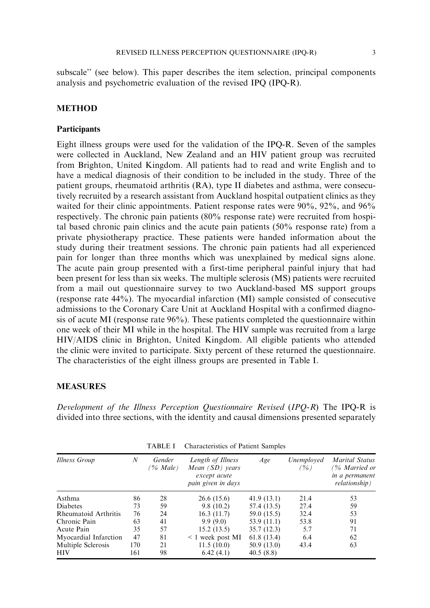subscale'' (see below). This paper describes the item selection, principal components analysis and psychometric evaluation of the revised IPQ (IPQ-R).

## **METHOD**

## **Participants**

Eight illness groups were used for the validation of the IPQ-R. Seven of the samples were collected in Auckland, New Zealand and an HIV patient group was recruited from Brighton, United Kingdom. All patients had to read and write English and to have a medical diagnosis of their condition to be included in the study. Three of the patient groups, rheumatoid arthritis (RA), type II diabetes and asthma, were consecutively recruited by a research assistant from Auckland hospital outpatient clinics as they waited for their clinic appointments. Patient response rates were 90%, 92%, and 96% respectively. The chronic pain patients (80% response rate) were recruited from hospital based chronic pain clinics and the acute pain patients (50% response rate) from a private physiotherapy practice. These patients were handed information about the study during their treatment sessions. The chronic pain patients had all experienced pain for longer than three months which was unexplained by medical signs alone. The acute pain group presented with a first-time peripheral painful injury that had been present for less than six weeks. The multiple sclerosis (MS) patients were recruited from a mail out questionnaire survey to two Auckland-based MS support groups (response rate 44%). The myocardial infarction (MI) sample consisted of consecutive admissions to the Coronary Care Unit at Auckland Hospital with a confirmed diagnosis of acute MI (response rate 96%). These patients completed the questionnaire within one week of their MI while in the hospital. The HIV sample was recruited from a large HIV/AIDS clinic in Brighton, United Kingdom. All eligible patients who attended the clinic were invited to participate. Sixty percent of these returned the questionnaire. The characteristics of the eight illness groups are presented in Table I.

## MEASURES

Development of the Illness Perception Questionnaire Revised (IPQ-R) The IPQ-R is divided into three sections, with the identity and causal dimensions presented separately

| <b>Illness Group</b>  | N   | Gender     | Length of Illness                                     | Age         | Unemployed | Marital Status                                   |
|-----------------------|-----|------------|-------------------------------------------------------|-------------|------------|--------------------------------------------------|
|                       |     | $\%$ Male) | Mean (SD) years<br>except acute<br>pain given in days |             | (%)        | (% Married or<br>in a permanent<br>relationship) |
| Asthma                | 86  | 28         | 26.6 (15.6)                                           | 41.9(13.1)  | 21.4       | 53                                               |
| Diabetes              | 73  | 59         | 9.8(10.2)                                             | 57.4 (13.5) | 27.4       | 59                                               |
| Rheumatoid Arthritis  | 76  | 24         | 16.3(11.7)                                            | 59.0 (15.5) | 32.4       | 53                                               |
| Chronic Pain          | 63  | 41         | 9.9(9.0)                                              | 53.9 (11.1) | 53.8       | 91                                               |
| Acute Pain            | 35  | 57         | 15.2(13.5)                                            | 35.7(12.3)  | 5.7        | 71                                               |
| Myocardial Infarction | 47  | 81         | $\leq$ 1 week post MI                                 | 61.8(13.4)  | 6.4        | 62                                               |
| Multiple Sclerosis    | 170 | 21         | 11.5(10.0)                                            | 50.9 (13.0) | 43.4       | 63                                               |
| <b>HIV</b>            | 161 | 98         | 6.42(4.1)                                             | 40.5(8.8)   |            |                                                  |

TABLE I Characteristics of Patient Samples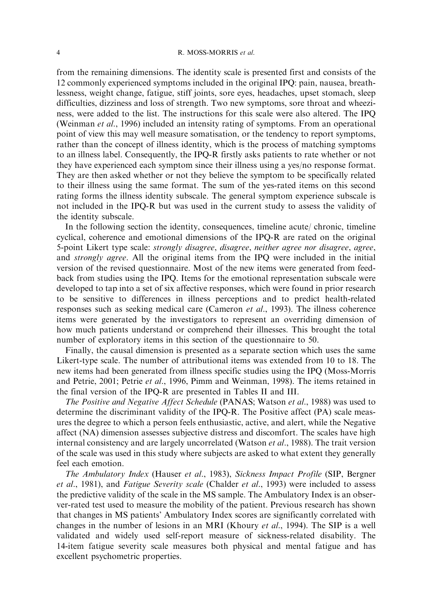from the remaining dimensions. The identity scale is presented first and consists of the 12 commonly experienced symptoms included in the original IPQ: pain, nausea, breathlessness, weight change, fatigue, stiff joints, sore eyes, headaches, upset stomach, sleep difficulties, dizziness and loss of strength. Two new symptoms, sore throat and wheeziness, were added to the list. The instructions for this scale were also altered. The IPQ (Weinman et al., 1996) included an intensity rating of symptoms. From an operational point of view this may well measure somatisation, or the tendency to report symptoms, rather than the concept of illness identity, which is the process of matching symptoms to an illness label. Consequently, the IPQ-R firstly asks patients to rate whether or not they have experienced each symptom since their illness using a yes/no response format. They are then asked whether or not they believe the symptom to be specifically related to their illness using the same format. The sum of the yes-rated items on this second rating forms the illness identity subscale. The general symptom experience subscale is not included in the IPQ-R but was used in the current study to assess the validity of the identity subscale.

In the following section the identity, consequences, timeline acute/ chronic, timeline cyclical, coherence and emotional dimensions of the IPQ-R are rated on the original 5-point Likert type scale: strongly disagree, disagree, neither agree nor disagree, agree, and strongly agree. All the original items from the IPQ were included in the initial version of the revised questionnaire. Most of the new items were generated from feedback from studies using the IPQ. Items for the emotional representation subscale were developed to tap into a set of six affective responses, which were found in prior research to be sensitive to differences in illness perceptions and to predict health-related responses such as seeking medical care (Cameron et al., 1993). The illness coherence items were generated by the investigators to represent an overriding dimension of how much patients understand or comprehend their illnesses. This brought the total number of exploratory items in this section of the questionnaire to 50.

Finally, the causal dimension is presented as a separate section which uses the same Likert-type scale. The number of attributional items was extended from 10 to 18. The new items had been generated from illness specific studies using the IPQ (Moss-Morris and Petrie, 2001; Petrie et al., 1996, Pimm and Weinman, 1998). The items retained in the final version of the IPQ-R are presented in Tables II and III.

The Positive and Negative Affect Schedule (PANAS; Watson et al., 1988) was used to determine the discriminant validity of the IPQ-R. The Positive affect (PA) scale measures the degree to which a person feels enthusiastic, active, and alert, while the Negative affect (NA) dimension assesses subjective distress and discomfort. The scales have high internal consistency and are largely uncorrelated (Watson et al., 1988). The trait version of the scale was used in this study where subjects are asked to what extent they generally feel each emotion.

The Ambulatory Index (Hauser et al., 1983), Sickness Impact Profile (SIP, Bergner et al., 1981), and Fatigue Severity scale (Chalder et al., 1993) were included to assess the predictive validity of the scale in the MS sample. The Ambulatory Index is an observer-rated test used to measure the mobility of the patient. Previous research has shown that changes in MS patients' Ambulatory Index scores are significantly correlated with changes in the number of lesions in an MRI (Khoury *et al.*, 1994). The SIP is a well validated and widely used self-report measure of sickness-related disability. The 14-item fatigue severity scale measures both physical and mental fatigue and has excellent psychometric properties.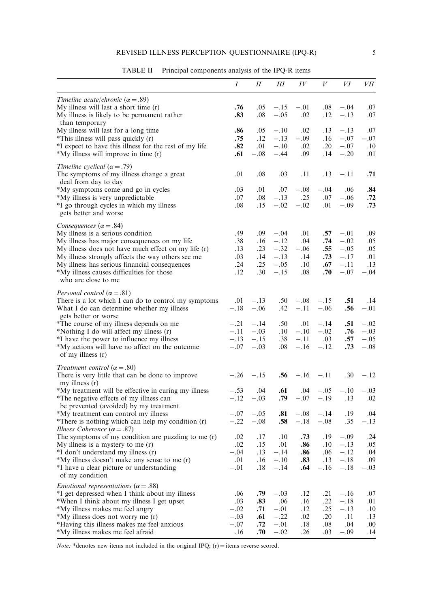## REVISED ILLNESS PERCEPTION QUESTIONNAIRE (IPQ-R) 5

| TABLE II Principal components analysis of the IPQ-R items |  |
|-----------------------------------------------------------|--|
|-----------------------------------------------------------|--|

|                                                                                                     | Ι             | Η                | Ш                | IV               | V                | VI               | VИ            |
|-----------------------------------------------------------------------------------------------------|---------------|------------------|------------------|------------------|------------------|------------------|---------------|
| Timeline acute/chronic ( $\alpha = .89$ )                                                           |               |                  |                  |                  |                  |                  |               |
| My illness will last a short time $(r)$                                                             | .76           | .05              | $-.15$           | $-.01$           | $.08\,$          | $-.04$           | .07           |
| My illness is likely to be permanent rather                                                         | .83           | .08              | $-.05$           | .02              | .12              | $-.13$           | .07           |
| than temporary<br>My illness will last for a long time                                              | .86           | .05              | $-.10$           | .02              | .13              | $-.13$           | .07           |
| *This illness will pass quickly (r)                                                                 | .75           | .12              | $-.13$           | $-.09$           | .16              | $-.07$           | $-.07$        |
| *I expect to have this illness for the rest of my life                                              | .82           | .01              | $-.10$           | .02              | .20              | $-.07$           | .10           |
| *My illness will improve in time (r)                                                                | .61           | $-.08$           | -.44             | .09              | .14              | $-.20$           | .01           |
| Timeline cyclical ( $\alpha = .79$ )                                                                |               |                  |                  |                  |                  |                  |               |
| The symptoms of my illness change a great                                                           | .01           | .08              | .03              | .11              | .13              | $-.11$           | .71           |
| deal from day to day                                                                                |               |                  |                  |                  |                  |                  |               |
| *My symptoms come and go in cycles                                                                  | .03           | .01              | .07              | $-.08$           | $-.04$           | .06              | .84           |
| *My illness is very unpredictable<br>*I go through cycles in which my illness                       | .07<br>.08    | .08<br>.15       | $-.13$<br>$-.02$ | .25<br>$-.02$    | .07<br>.01       | $-.06$<br>$-.09$ | .72<br>.73    |
| gets better and worse                                                                               |               |                  |                  |                  |                  |                  |               |
|                                                                                                     |               |                  |                  |                  |                  |                  |               |
| Consequences ( $\alpha$ = .84)<br>My illness is a serious condition                                 | .49           | .09              | $-.04$           | .01              | .57              | $-.01$           | .09           |
| My illness has major consequences on my life                                                        | .38           | .16              | $-.12$           | .04              | .74              | $-.02$           | .05           |
| My illness does not have much effect on my life (r)                                                 | .13           | .23              | $-.32$           | $-.06$           | .55              | $-.05$           | .05           |
| My illness strongly affects the way others see me                                                   | .03           | .14              | $-.13$           | .14              | .73              | $-.17$           | .01           |
| My illness has serious financial consequences                                                       | .24           | .25              | $-.05$           | .10              | .67              | $-.11$           | .13           |
| *My illness causes difficulties for those<br>who are close to me                                    | .12           | .30              | $-.15$           | .08              | .70              | $-.07$           | $-.04$        |
|                                                                                                     |               |                  |                  |                  |                  |                  |               |
| <i>Personal control</i> ( $\alpha$ = .81)                                                           |               |                  |                  |                  |                  |                  |               |
| There is a lot which I can do to control my symptoms<br>What I do can determine whether my illness  | .01<br>$-.18$ | $-.13$<br>$-.06$ | .50<br>.42       | $-.08$<br>$-.11$ | $-.15$<br>$-.06$ | .51<br>.56       | .14<br>$-.01$ |
| gets better or worse                                                                                |               |                  |                  |                  |                  |                  |               |
| *The course of my illness depends on me                                                             | $-.21$        | $-.14$           | .50              | .01              | $-.14$           | .51              | $-.02$        |
| *Nothing I do will affect my illness (r)                                                            | $-.11$        | $-.03$           | .10              | $-.10$           | $-.02$           | .76              | $-.03$        |
| *I have the power to influence my illness                                                           | $-.13$        | $-.15$           | .38              | $-.11$           | .03              | .57              | $-.05$        |
| *My actions will have no affect on the outcome                                                      | $-.07$        | $-.03$           | .08              | $-.16$           | $-.12$           | .73              | $-.08$        |
| of my illness (r)                                                                                   |               |                  |                  |                  |                  |                  |               |
| Treatment control ( $\alpha$ = .80)                                                                 |               |                  |                  |                  |                  |                  |               |
| There is very little that can be done to improve                                                    | $-.26$        | $-.15$           | .56              | $-.16$           | $-.11$           | .30              | $-.12$        |
| my illness $(r)$<br>*My treatment will be effective in curing my illness                            | $-.53$        | .04              | .61              | .04              | $-.05$           | $-.10$           | $-.03$        |
| *The negative effects of my illness can                                                             | $-.12$        | $-.03$           | .79              | $-.07$           | $-.19$           | .13              | .02           |
| be prevented (avoided) by my treatment                                                              |               |                  |                  |                  |                  |                  |               |
| *My treatment can control my illness                                                                | $-.07$        | $-.05$           | .81              | $-.08$           | $-.14$           | .19              | .04           |
| *There is nothing which can help my condition (r)                                                   | $-.22$        | $-.08$           | .58              | $-.18$           | $-.08$           | .35              | $-.13$        |
| <i>Illness Coherence</i> ( $\alpha$ = .87)<br>The symptoms of my condition are puzzling to me $(r)$ | .02           | .17              | .10              | .73              | .19              | $-.09$           | .24           |
| My illness is a mystery to me (r)                                                                   | .02           | .15              | .01              | .86              | .10              | $-.13$           | .05           |
| *I don't understand my illness (r)                                                                  | $-.04$        | .13              | $-.14$           | .86              | .06              | $-.12$           | .04           |
| *My illness doesn't make any sense to me (r)                                                        | .01           | .16              | $-.10$           | .83              | .13              | $-.18$           | .09           |
| *I have a clear picture or understanding                                                            | $-.01\,$      | .18              | $-.14$           | .64              | $-.16$           | $-.18$           | $-.03$        |
| of my condition                                                                                     |               |                  |                  |                  |                  |                  |               |
| <i>Emotional representations</i> ( $\alpha$ = .88)                                                  |               |                  |                  |                  |                  |                  |               |
| *I get depressed when I think about my illness                                                      | .06           | .79              | $-.03$           | .12              | .21              | $-.16$           | .07           |
| *When I think about my illness I get upset<br>*My illness makes me feel angry                       | .03<br>$-.02$ | .83<br>.71       | .06<br>$-.01$    | .16<br>.12       | .22<br>.25       | $-.18$<br>$-.13$ | .01<br>.10    |
| *My illness does not worry me (r)                                                                   | $-.03$        | .61              | $-.22$           | .02              | .20              | .11              | .13           |
| *Having this illness makes me feel anxious                                                          | $-.07$        | .72              | $-.01$           | .18              | .08              | .04              | .00.          |
| *My illness makes me feel afraid                                                                    | .16           | .70              | $-.02$           | .26              | .03              | $-.09$           | .14           |

*Note:* \*denotes new items not included in the original IPQ; (r) = items reverse scored.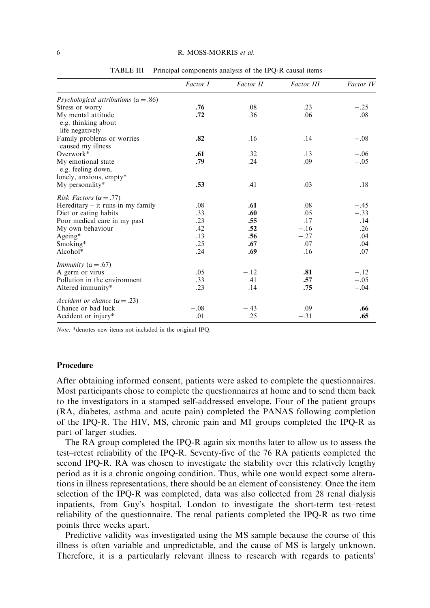|                                                                     | Factor I | Factor II | <b>Factor III</b> | Factor IV |
|---------------------------------------------------------------------|----------|-----------|-------------------|-----------|
| Psychological attributions ( $\alpha = .86$ )                       |          |           |                   |           |
| Stress or worry                                                     | .76      | .08       | .23               | $-.25$    |
| My mental attitude<br>e.g. thinking about<br>life negatively        | .72      | .36       | .06               | .08       |
| Family problems or worries<br>caused my illness                     | .82      | .16       | .14               | $-.08$    |
| $Overwork*$                                                         | .61      | .32       | .13               | $-.06$    |
| My emotional state<br>e.g. feeling down,<br>lonely, anxious, empty* | .79      | .24       | .09               | $-.05$    |
| My personality*                                                     | .53      | .41       | .03               | .18       |
| <i>Risk Factors</i> ( $\alpha$ = .77)                               |          |           |                   |           |
| Hereditary $-$ it runs in my family                                 | .08      | .61       | .08               | $-.45$    |
| Diet or eating habits                                               | .33      | .60       | .05               | $-.33$    |
| Poor medical care in my past                                        | .23      | .55       | .17               | .14       |
| My own behaviour                                                    | .42      | .52       | $-.16$            | .26       |
| Ageing*                                                             | .13      | .56       | $-.27$            | .04       |
| Smoking*                                                            | .25      | .67       | .07               | .04       |
| $Alcohol*$                                                          | .24      | .69       | .16               | .07       |
| <i>Immunity</i> ( $\alpha$ = .67)                                   |          |           |                   |           |
| A germ or virus                                                     | .05      | $-.12$    | .81               | $-.12$    |
| Pollution in the environment                                        | .33      | .41       | .57               | $-.05$    |
| Altered immunity*                                                   | .23      | .14       | .75               | $-.04$    |
| Accident or chance $(\alpha = .23)$                                 |          |           |                   |           |
| Chance or bad luck                                                  | $-.08$   | $-.43$    | .09               | .66       |
| Accident or injury*                                                 | .01      | .25       | $-.31$            | .65       |

TABLE III Principal components analysis of the IPQ-R causal items

Note: \*denotes new items not included in the original IPQ.

#### Procedure

After obtaining informed consent, patients were asked to complete the questionnaires. Most participants chose to complete the questionnaires at home and to send them back to the investigators in a stamped self-addressed envelope. Four of the patient groups (RA, diabetes, asthma and acute pain) completed the PANAS following completion of the IPQ-R. The HIV, MS, chronic pain and MI groups completed the IPQ-R as part of larger studies.

The RA group completed the IPQ-R again six months later to allow us to assess the test–retest reliability of the IPQ-R. Seventy-five of the 76 RA patients completed the second IPQ-R. RA was chosen to investigate the stability over this relatively lengthy period as it is a chronic ongoing condition. Thus, while one would expect some alterations in illness representations, there should be an element of consistency. Once the item selection of the IPQ-R was completed, data was also collected from 28 renal dialysis inpatients, from Guy's hospital, London to investigate the short-term test–retest reliability of the questionnaire. The renal patients completed the IPQ-R as two time points three weeks apart.

Predictive validity was investigated using the MS sample because the course of this illness is often variable and unpredictable, and the cause of MS is largely unknown. Therefore, it is a particularly relevant illness to research with regards to patients'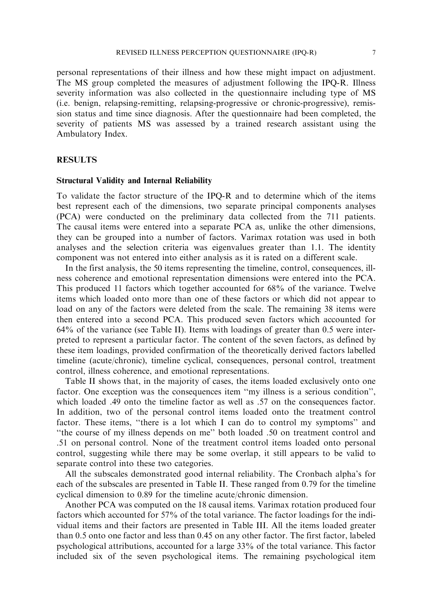personal representations of their illness and how these might impact on adjustment. The MS group completed the measures of adjustment following the IPQ-R. Illness severity information was also collected in the questionnaire including type of MS (i.e. benign, relapsing-remitting, relapsing-progressive or chronic-progressive), remission status and time since diagnosis. After the questionnaire had been completed, the severity of patients MS was assessed by a trained research assistant using the Ambulatory Index.

### **RESULTS**

## Structural Validity and Internal Reliability

To validate the factor structure of the IPQ-R and to determine which of the items best represent each of the dimensions, two separate principal components analyses (PCA) were conducted on the preliminary data collected from the 711 patients. The causal items were entered into a separate PCA as, unlike the other dimensions, they can be grouped into a number of factors. Varimax rotation was used in both analyses and the selection criteria was eigenvalues greater than 1.1. The identity component was not entered into either analysis as it is rated on a different scale.

In the first analysis, the 50 items representing the timeline, control, consequences, illness coherence and emotional representation dimensions were entered into the PCA. This produced 11 factors which together accounted for 68% of the variance. Twelve items which loaded onto more than one of these factors or which did not appear to load on any of the factors were deleted from the scale. The remaining 38 items were then entered into a second PCA. This produced seven factors which accounted for 64% of the variance (see Table II). Items with loadings of greater than 0.5 were interpreted to represent a particular factor. The content of the seven factors, as defined by these item loadings, provided confirmation of the theoretically derived factors labelled timeline (acute/chronic), timeline cyclical, consequences, personal control, treatment control, illness coherence, and emotional representations.

Table II shows that, in the majority of cases, the items loaded exclusively onto one factor. One exception was the consequences item ''my illness is a serious condition'', which loaded .49 onto the timeline factor as well as .57 on the consequences factor. In addition, two of the personal control items loaded onto the treatment control factor. These items, ''there is a lot which I can do to control my symptoms'' and ''the course of my illness depends on me'' both loaded .50 on treatment control and .51 on personal control. None of the treatment control items loaded onto personal control, suggesting while there may be some overlap, it still appears to be valid to separate control into these two categories.

All the subscales demonstrated good internal reliability. The Cronbach alpha's for each of the subscales are presented in Table II. These ranged from 0.79 for the timeline cyclical dimension to 0.89 for the timeline acute/chronic dimension.

Another PCA was computed on the 18 causal items. Varimax rotation produced four factors which accounted for 57% of the total variance. The factor loadings for the individual items and their factors are presented in Table III. All the items loaded greater than 0.5 onto one factor and less than 0.45 on any other factor. The first factor, labeled psychological attributions, accounted for a large 33% of the total variance. This factor included six of the seven psychological items. The remaining psychological item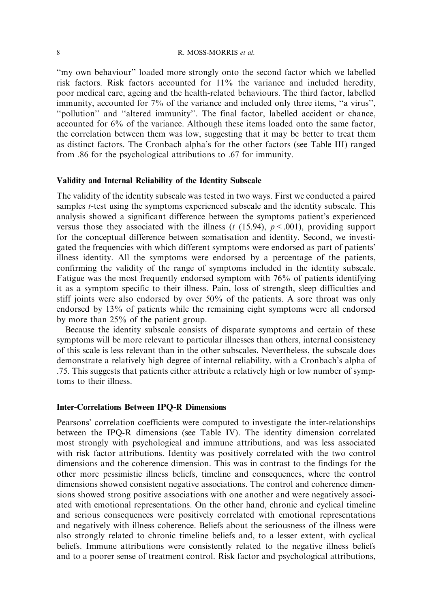''my own behaviour'' loaded more strongly onto the second factor which we labelled risk factors. Risk factors accounted for 11% the variance and included heredity, poor medical care, ageing and the health-related behaviours. The third factor, labelled immunity, accounted for 7% of the variance and included only three items, ''a virus'', ''pollution'' and ''altered immunity''. The final factor, labelled accident or chance, accounted for 6% of the variance. Although these items loaded onto the same factor, the correlation between them was low, suggesting that it may be better to treat them as distinct factors. The Cronbach alpha's for the other factors (see Table III) ranged from .86 for the psychological attributions to .67 for immunity.

## Validity and Internal Reliability of the Identity Subscale

The validity of the identity subscale was tested in two ways. First we conducted a paired samples t-test using the symptoms experienced subscale and the identity subscale. This analysis showed a significant difference between the symptoms patient's experienced versus those they associated with the illness (t (15.94),  $p < .001$ ), providing support for the conceptual difference between somatisation and identity. Second, we investigated the frequencies with which different symptoms were endorsed as part of patients' illness identity. All the symptoms were endorsed by a percentage of the patients, confirming the validity of the range of symptoms included in the identity subscale. Fatigue was the most frequently endorsed symptom with 76% of patients identifying it as a symptom specific to their illness. Pain, loss of strength, sleep difficulties and stiff joints were also endorsed by over 50% of the patients. A sore throat was only endorsed by 13% of patients while the remaining eight symptoms were all endorsed by more than 25% of the patient group.

Because the identity subscale consists of disparate symptoms and certain of these symptoms will be more relevant to particular illnesses than others, internal consistency of this scale is less relevant than in the other subscales. Nevertheless, the subscale does demonstrate a relatively high degree of internal reliability, with a Cronbach's alpha of .75. This suggests that patients either attribute a relatively high or low number of symptoms to their illness.

### Inter-Correlations Between IPQ-R Dimensions

Pearsons' correlation coefficients were computed to investigate the inter-relationships between the IPQ-R dimensions (see Table IV). The identity dimension correlated most strongly with psychological and immune attributions, and was less associated with risk factor attributions. Identity was positively correlated with the two control dimensions and the coherence dimension. This was in contrast to the findings for the other more pessimisticillness beliefs, timeline and consequences, where the control dimensions showed consistent negative associations. The control and coherence dimensions showed strong positive associations with one another and were negatively associated with emotional representations. On the other hand, chronic and cyclical timeline and serious consequences were positively correlated with emotional representations and negatively with illness coherence. Beliefs about the seriousness of the illness were also strongly related to chronic timeline beliefs and, to a lesser extent, with cyclical beliefs. Immune attributions were consistently related to the negative illness beliefs and to a poorer sense of treatment control. Risk factor and psychological attributions,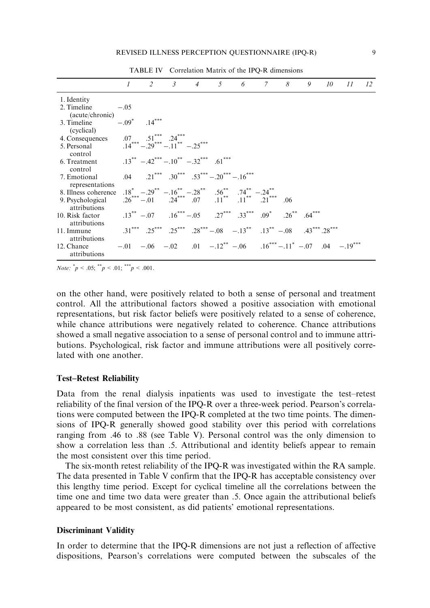|                                  | $\mathcal{I}$                                      | 2        | $\mathfrak{Z}$ | $4\qquad 5$                                                                                                                                                                                       | $\sim$ 6 | 7 | 8   | 9 | 10 | 11 | 12 |
|----------------------------------|----------------------------------------------------|----------|----------------|---------------------------------------------------------------------------------------------------------------------------------------------------------------------------------------------------|----------|---|-----|---|----|----|----|
| 1. Identity                      |                                                    |          |                |                                                                                                                                                                                                   |          |   |     |   |    |    |    |
| 2. Timeline<br>(acute/chronic)   | $-.05$                                             |          |                |                                                                                                                                                                                                   |          |   |     |   |    |    |    |
| 3. Timeline<br>(cyclical)        | $-.09*$                                            | $.14***$ |                |                                                                                                                                                                                                   |          |   |     |   |    |    |    |
| 4. Consequences                  | .07 .51*** .24***<br>.14*** -.29*** -.11** -.25*** |          |                |                                                                                                                                                                                                   |          |   |     |   |    |    |    |
| 5. Personal<br>control           |                                                    |          |                |                                                                                                                                                                                                   |          |   |     |   |    |    |    |
| 6. Treatment<br>control          |                                                    |          |                | $.13^{***} - .42^{***} - .10^{**} - .32^{***}$ .61 <sup>***</sup>                                                                                                                                 |          |   |     |   |    |    |    |
| 7. Emotional<br>representations  |                                                    |          |                | $.04$ $.21***$ $.30***$ $.53***$ $-.20***$ $-.16***$                                                                                                                                              |          |   |     |   |    |    |    |
| 8. Illness coherence             |                                                    |          |                | $\begin{array}{rrrrrrrrrrrrrr} .18^{*} & -.29^{**} & -.16^{**} & -.28^{**} & .56^{**} & .74^{**} & -.24^{**} \\ .26^{***} & -.01 & .24^{***} & .07 & .11^{**} & .11^{**} & .21^{***} \end{array}$ |          |   |     |   |    |    |    |
| 9. Psychological<br>attributions |                                                    |          |                |                                                                                                                                                                                                   |          |   | .06 |   |    |    |    |
| 10. Risk factor<br>attributions  |                                                    |          |                | $.13^{***}$ $-.07$ $.16^{***}$ $-.05$ $.27^{***}$ $.33^{***}$ $.09^{*}$ $.26^{**}$ $.64^{***}$                                                                                                    |          |   |     |   |    |    |    |
| 11. Immune<br>attributions       |                                                    |          |                | $.31^{***}$ $.25^{***}$ $.25^{***}$ $.28^{***}$ $-.08$ $-.13^{**}$ $.13^{**}$ $-.08$ $.43^{***}$ $.28^{***}$                                                                                      |          |   |     |   |    |    |    |
| 12. Chance<br>attributions       |                                                    |          |                | $-0.01 - 0.06 - 0.02$ $0.01 - 0.12^{**} - 0.06$ $0.16^{***} - 0.11^{*} - 0.07$ $0.04$                                                                                                             |          |   |     |   |    |    |    |

TABLE IV Correlation Matrix of the IPQ-R dimensions

Note:  $^*p < .05;$   $^{**}p < .01;$   $^{***}p < .001$ .

on the other hand, were positively related to both a sense of personal and treatment control. All the attributional factors showed a positive association with emotional representations, but risk factor beliefs were positively related to a sense of coherence, while chance attributions were negatively related to coherence. Chance attributions showed a small negative association to a sense of personal control and to immune attributions. Psychological, risk factor and immune attributions were all positively correlated with one another.

#### Test–Retest Reliability

Data from the renal dialysis inpatients was used to investigate the test–retest reliability of the final version of the IPQ-R over a three-week period. Pearson's correlations were computed between the IPQ-R completed at the two time points. The dimensions of IPQ-R generally showed good stability over this period with correlations ranging from .46 to .88 (see Table V). Personal control was the only dimension to show a correlation less than .5. Attributional and identity beliefs appear to remain the most consistent over this time period.

The six-month retest reliability of the IPQ-R was investigated within the RA sample. The data presented in Table V confirm that the IPQ-R has acceptable consistency over this lengthy time period. Except for cyclical timeline all the correlations between the time one and time two data were greater than .5. Once again the attributional beliefs appeared to be most consistent, as did patients' emotional representations.

## Discriminant Validity

In order to determine that the IPQ-R dimensions are not just a reflection of affective dispositions, Pearson's correlations were computed between the subscales of the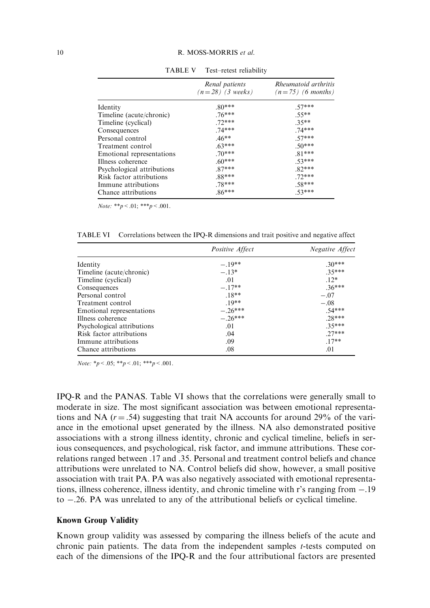|                            | Renal patients<br>$(n=28)$ (3 weeks) | Rheumatoid arthritis<br>$(n=75)$ (6 months) |
|----------------------------|--------------------------------------|---------------------------------------------|
| Identity                   | $80***$                              | 57***                                       |
| Timeline (acute/chronic)   | $.76***$                             | $.55**$                                     |
| Timeline (cyclical)        | $72***$                              | $35**$                                      |
| Consequences               | $74***$                              | $74***$                                     |
| Personal control           | $.46**$                              | 57***                                       |
| Treatment control          | $.63***$                             | $50***$                                     |
| Emotional representations  | $.70***$                             | $.81***$                                    |
| Illness coherence          | $.60***$                             | 53***                                       |
| Psychological attributions | $.87***$                             | $82***$                                     |
| Risk factor attributions   | $.88***$                             | $72***$                                     |
| Immune attributions        | 78***                                | 58***                                       |
| Chance attributions        | $.86***$                             | $53***$                                     |

TABLE V Test–retest reliability

Note: \*\*p < .01; \*\*\*p < .001.

TABLE VI Correlations between the IPQ-R dimensions and trait positive and negative affect

|                            | Positive Affect | Negative Affect |
|----------------------------|-----------------|-----------------|
| Identity                   | $-.19**$        | $.30***$        |
| Timeline (acute/chronic)   | $-.13*$         | 35***           |
| Timeline (cyclical)        | .01             | $.12*$          |
| Consequences               | $-.17**$        | $.36***$        |
| Personal control           | $.18**$         | $-.07$          |
| Treatment control          | $19**$          | $-.08$          |
| Emotional representations  | $-.26***$       | 54***           |
| Illness coherence          | $-.26***$       | 28***           |
| Psychological attributions | .01             | $35***$         |
| Risk factor attributions   | .04             | $27***$         |
| Immune attributions        | .09             | $.17**$         |
| Chance attributions        | .08             | .01             |

Note:  $*_{p}$  < .05;  $*_{p}$  < .01;  $*_{p}$  < .001.

IPQ-R and the PANAS. Table VI shows that the correlations were generally small to moderate in size. The most significant association was between emotional representations and NA  $(r = .54)$  suggesting that trait NA accounts for around 29% of the variance in the emotional upset generated by the illness. NA also demonstrated positive associations with a strong illness identity, chronic and cyclical timeline, beliefs in serious consequences, and psychological, risk factor, and immune attributions. These correlations ranged between .17 and .35. Personal and treatment control beliefs and chance attributions were unrelated to NA. Control beliefs did show, however, a small positive association with trait PA. PA was also negatively associated with emotional representations, illness coherence, illness identity, and chronic timeline with r's ranging from -.19 to  $-.26$ . PA was unrelated to any of the attributional beliefs or cyclical timeline.

#### Known Group Validity

Known group validity was assessed by comparing the illness beliefs of the acute and chronic pain patients. The data from the independent samples t-tests computed on each of the dimensions of the IPQ-R and the four attributional factors are presented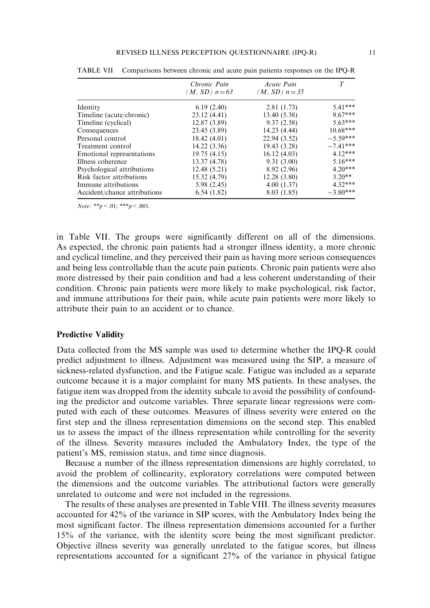| Chronic Pain<br>$(M, SD)$ $n = 63$ | Acute Pain<br>$(M, SD)$ $n = 35$ | T          |
|------------------------------------|----------------------------------|------------|
| 6.19(2.40)                         | 2.81(1.73)                       | $5.41***$  |
| 23.12(4.41)                        | 13.40 (5.38)                     | $9.67***$  |
| 12.87(3.89)                        | 9.37(2.58)                       | $5.63***$  |
| 23.45 (3.89)                       | 14.23 (4.44)                     | $10.68***$ |
| 18.42(4.01)                        | 22.94 (3.52)                     | $-5.59***$ |
| 14.22 (3.36)                       | 19.43 (3.28)                     | $-7.41***$ |
| 19.75 (4.15)                       | 16.12(4.03)                      | $4.12***$  |
| 13.37 (4.78)                       | 9.31(3.00)                       | $5.16***$  |
| 12.48(5.21)                        | 8.92 (2.96)                      | $4.20***$  |
| 15.32 (4.79)                       | 12.28(3.80)                      | $3.20**$   |
| 5.98 (2.45)                        | 4.00(1.37)                       | $4.32***$  |
| 6.54(1.82)                         | 8.03 (1.85)                      | $-3.80***$ |
|                                    |                                  |            |

TABLE VII Comparisons between chronic and acute pain patients responses on the IPQ-R

Note: \*\*p < .01; \*\*\*p < .001.

in Table VII. The groups were significantly different on all of the dimensions. As expected, the chronic pain patients had a stronger illness identity, a more chronic and cyclical timeline, and they perceived their pain as having more serious consequences and being less controllable than the acute pain patients. Chronic pain patients were also more distressed by their pain condition and had a less coherent understanding of their condition. Chronic pain patients were more likely to make psychological, risk factor, and immune attributions for their pain, while acute pain patients were more likely to attribute their pain to an accident or to chance.

#### Predictive Validity

Data collected from the MS sample was used to determine whether the IPQ-R could predict adjustment to illness. Adjustment was measured using the SIP, a measure of sickness-related dysfunction, and the Fatigue scale. Fatigue was included as a separate outcome because it is a major complaint for many MS patients. In these analyses, the fatigue item was dropped from the identity subcale to avoid the possibility of confounding the predictor and outcome variables. Three separate linear regressions were computed with each of these outcomes. Measures of illness severity were entered on the first step and the illness representation dimensions on the second step. This enabled us to assess the impact of the illness representation while controlling for the severity of the illness. Severity measures included the Ambulatory Index, the type of the patient's MS, remission status, and time since diagnosis.

Because a number of the illness representation dimensions are highly correlated, to avoid the problem of collinearity, exploratory correlations were computed between the dimensions and the outcome variables. The attributional factors were generally unrelated to outcome and were not included in the regressions.

The results of these analyses are presented in Table VIII. The illness severity measures accounted for 42% of the variance in SIP scores, with the Ambulatory Index being the most significant factor. The illness representation dimensions accounted for a further 15% of the variance, with the identity score being the most significant predictor. Objective illness severity was generally unrelated to the fatigue scores, but illness representations accounted for a significant 27% of the variance in physical fatigue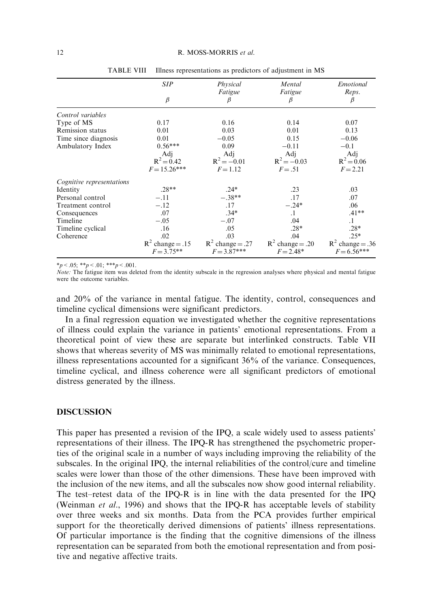|                           | <b>SIP</b><br>$\beta$ | Physical<br>Fatigue<br>β | Mental<br>Fatigue<br>β | Emotional<br>Reps.<br>β |
|---------------------------|-----------------------|--------------------------|------------------------|-------------------------|
|                           |                       |                          |                        |                         |
| Control variables         |                       |                          |                        |                         |
| Type of MS                | 0.17                  | 0.16                     | 0.14                   | 0.07                    |
| Remission status          | 0.01                  | 0.03                     | 0.01                   | 0.13                    |
| Time since diagnosis      | 0.01                  | $-0.05$                  | 0.15                   | $-0.06$                 |
| Ambulatory Index          | $0.56***$             | 0.09                     | $-0.11$                | $-0.1$                  |
|                           | Adi                   | Adj                      | Adi                    | Adi                     |
|                           | $R^2 = 0.42$          | $R^2 = -0.01$            | $R^2 = -0.03$          | $R^2 = 0.06$            |
|                           | $F = 15.26***$        | $F = 1.12$               | $F = .51$              | $F = 2.21$              |
| Cognitive representations |                       |                          |                        |                         |
| Identity                  | $.28**$               | $.24*$                   | .23                    | .03                     |
| Personal control          | $-.11$                | $-.38**$                 | .17                    | .07                     |
| Treatment control         | $-.12$                | .17                      | $-.24*$                | .06                     |
| Consequences              | .07                   | $.34*$                   | $\cdot$ 1              | $.41**$                 |
| Timeline                  | $-.05$                | $-.07$                   | .04                    | $\cdot$ 1               |
| Timeline cyclical         | .16                   | .05                      | $.28*$                 | $.28*$                  |
| Coherence                 | .02                   | .03                      | .04                    | $.25*$                  |
|                           | $R^2$ change = .15    | $R^2$ change = .27       | $R^2$ change = .20     | $R^2$ change = .36      |
|                           | $F = 3.75**$          | $F = 3.87***$            | $F = 2.48*$            | $F = 6.56***$           |

TABLE VIII Illness representations as predictors of adjustment in MS

 $*_p$  < .05;  $*_p$  < .01;  $**_p$  < .001.

Note: The fatigue item was deleted from the identity subscale in the regression analyses where physical and mental fatigue were the outcome variables.

and 20% of the variance in mental fatigue. The identity, control, consequences and timeline cyclical dimensions were significant predictors.

In a final regression equation we investigated whether the cognitive representations of illness could explain the variance in patients' emotional representations. From a theoretical point of view these are separate but interlinked constructs. Table VII shows that whereas severity of MS was minimally related to emotional representations, illness representations accounted for a significant 36% of the variance. Consequences, timeline cyclical, and illness coherence were all significant predictors of emotional distress generated by the illness.

## DISCUSSION

This paper has presented a revision of the IPQ, a scale widely used to assess patients' representations of their illness. The IPQ-R has strengthened the psychometric properties of the original scale in a number of ways including improving the reliability of the subscales. In the original IPQ, the internal reliabilities of the control/cure and timeline scales were lower than those of the other dimensions. These have been improved with the inclusion of the new items, and all the subscales now show good internal reliability. The test–retest data of the IPQ-R is in line with the data presented for the IPQ (Weinman *et al.*, 1996) and shows that the IPQ-R has acceptable levels of stability over three weeks and six months. Data from the PCA provides further empirical support for the theoretically derived dimensions of patients' illness representations. Of particular importance is the finding that the cognitive dimensions of the illness representation can be separated from both the emotional representation and from positive and negative affective traits.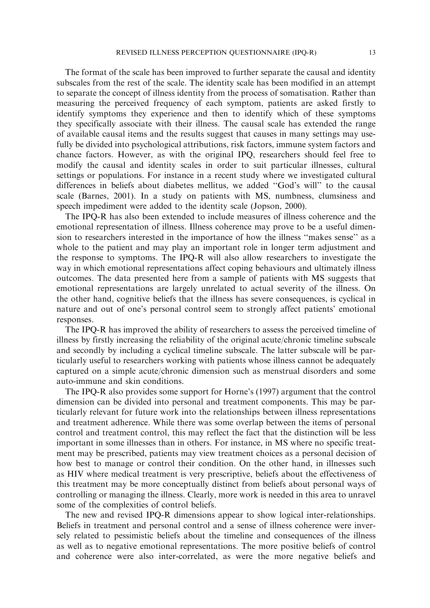The format of the scale has been improved to further separate the causal and identity subscales from the rest of the scale. The identity scale has been modified in an attempt to separate the concept of illness identity from the process of somatisation. Rather than measuring the perceived frequency of each symptom, patients are asked firstly to identify symptoms they experience and then to identify which of these symptoms they specifically associate with their illness. The causal scale has extended the range of available causal items and the results suggest that causes in many settings may usefully be divided into psychological attributions, risk factors, immune system factors and chance factors. However, as with the original IPQ, researchers should feel free to modify the causal and identity scales in order to suit particular illnesses, cultural settings or populations. For instance in a recent study where we investigated cultural differences in beliefs about diabetes mellitus, we added ''God's will'' to the causal scale (Barnes, 2001). In a study on patients with MS, numbness, clumsiness and speech impediment were added to the identity scale (Jopson, 2000).

The IPQ-R has also been extended to include measures of illness coherence and the emotional representation of illness. Illness coherence may prove to be a useful dimension to researchers interested in the importance of how the illness ''makes sense'' as a whole to the patient and may play an important role in longer term adjustment and the response to symptoms. The IPQ-R will also allow researchers to investigate the way in which emotional representations affect coping behaviours and ultimately illness outcomes. The data presented here from a sample of patients with MS suggests that emotional representations are largely unrelated to actual severity of the illness. On the other hand, cognitive beliefs that the illness has severe consequences, is cyclical in nature and out of one's personal control seem to strongly affect patients' emotional responses.

The IPQ-R has improved the ability of researchers to assess the perceived timeline of illness by firstly increasing the reliability of the original acute/chronic timeline subscale and secondly by including a cyclical timeline subscale. The latter subscale will be particularly useful to researchers working with patients whose illness cannot be adequately captured on a simple acute/chronic dimension such as menstrual disorders and some auto-immune and skin conditions.

The IPQ-R also provides some support for Horne's (1997) argument that the control dimension can be divided into personal and treatment components. This may be particularly relevant for future work into the relationships between illness representations and treatment adherence. While there was some overlap between the items of personal control and treatment control, this may reflect the fact that the distinction will be less important in some illnesses than in others. For instance, in MS where no specific treatment may be prescribed, patients may view treatment choices as a personal decision of how best to manage or control their condition. On the other hand, in illnesses such as HIV where medical treatment is very prescriptive, beliefs about the effectiveness of this treatment may be more conceptually distinct from beliefs about personal ways of controlling or managing the illness. Clearly, more work is needed in this area to unravel some of the complexities of control beliefs.

The new and revised IPQ-R dimensions appear to show logical inter-relationships. Beliefs in treatment and personal control and a sense of illness coherence were inversely related to pessimistic beliefs about the timeline and consequences of the illness as well as to negative emotional representations. The more positive beliefs of control and coherence were also inter-correlated, as were the more negative beliefs and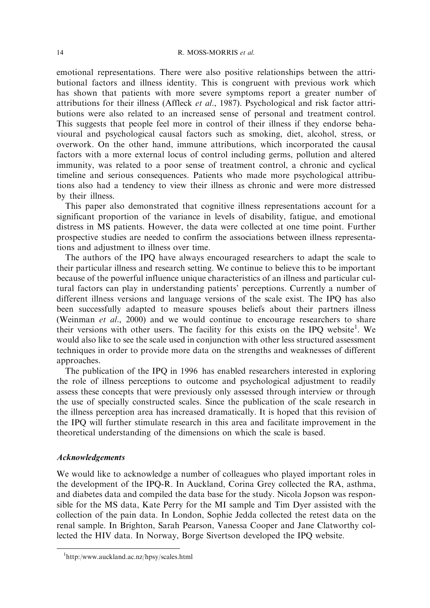emotional representations. There were also positive relationships between the attributional factors and illness identity. This is congruent with previous work which has shown that patients with more severe symptoms report a greater number of attributions for their illness (Affleck et al., 1987). Psychological and risk factor attributions were also related to an increased sense of personal and treatment control. This suggests that people feel more in control of their illness if they endorse behavioural and psychological causal factors such as smoking, diet, alcohol, stress, or overwork. On the other hand, immune attributions, which incorporated the causal factors with a more external locus of control including germs, pollution and altered immunity, was related to a poor sense of treatment control, a chronic and cyclical timeline and serious consequences. Patients who made more psychological attributions also had a tendency to view their illness as chronic and were more distressed by their illness.

This paper also demonstrated that cognitive illness representations account for a significant proportion of the variance in levels of disability, fatigue, and emotional distress in MS patients. However, the data were collected at one time point. Further prospective studies are needed to confirm the associations between illness representations and adjustment to illness over time.

The authors of the IPQ have always encouraged researchers to adapt the scale to their particular illness and research setting. We continue to believe this to be important because of the powerful influence unique characteristics of an illness and particular cultural factors can play in understanding patients' perceptions. Currently a number of different illness versions and language versions of the scale exist. The IPQ has also been successfully adapted to measure spouses beliefs about their partners illness (Weinman *et al.*, 2000) and we would continue to encourage researchers to share their versions with other users. The facility for this exists on the IPQ website<sup>1</sup>. We would also like to see the scale used in conjunction with other less structured assessment techniques in order to provide more data on the strengths and weaknesses of different approaches.

The publication of the IPQ in 1996 has enabled researchers interested in exploring the role of illness perceptions to outcome and psychological adjustment to readily assess these concepts that were previously only assessed through interview or through the use of specially constructed scales. Since the publication of the scale research in the illness perception area has increased dramatically. It is hoped that this revision of the IPQ will further stimulate research in this area and facilitate improvement in the theoretical understanding of the dimensions on which the scale is based.

#### Acknowledgements

We would like to acknowledge a number of colleagues who played important roles in the development of the IPQ-R. In Auckland, Corina Grey collected the RA, asthma, and diabetes data and compiled the data base for the study. Nicola Jopson was responsible for the MS data, Kate Perry for the MI sample and Tim Dyer assisted with the collection of the pain data. In London, Sophie Jedda collected the retest data on the renal sample. In Brighton, Sarah Pearson, Vanessa Cooper and Jane Clatworthy collected the HIV data. In Norway, Borge Sivertson developed the IPQ website.

<sup>1</sup> http:/www.auckland.ac.nz/hpsy/scales.html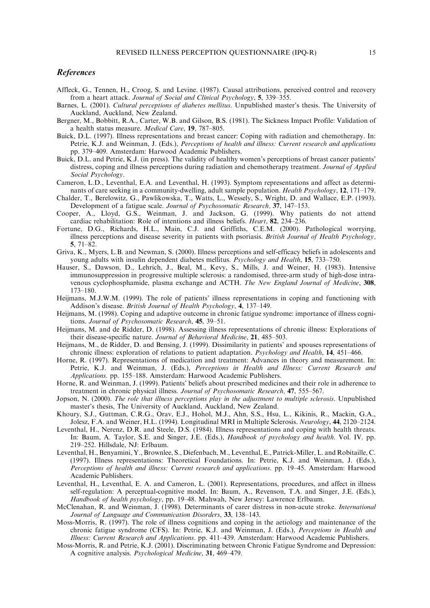#### References

- Affleck, G., Tennen, H., Croog, S. and Levine. (1987). Causal attributions, perceived control and recovery from a heart attack. Journal of Social and Clinical Psychology, 5, 339-355.
- Barnes, L. (2001). Cultural perceptions of diabetes mellitus. Unpublished master's thesis. The University of Auckland, Auckland, New Zealand.
- Bergner, M., Bobbitt, R.A., Carter, W.B. and Gilson, B.S. (1981). The Sickness Impact Profile: Validation of a health status measure. Medical Care, 19, 787–805.
- Buick, D.L. (1997). Illness representations and breast cancer: Coping with radiation and chemotherapy. In: Petrie, K.J. and Weinman, J. (Eds.), Perceptions of health and illness: Current research and applications pp. 379–409. Amsterdam: Harwood Academic Publishers.
- Buick, D.L. and Petrie, K.J. (in press). The validity of healthy women's perceptions of breast cancer patients' distress, coping and illness perceptions during radiation and chemotherapy treatment. Journal of Applied Social Psychology.
- Cameron, L.D., Leventhal, E.A. and Leventhal, H. (1993). Symptom representations and affect as determinants of care seeking in a community-dwelling, adult sample population. *Health Psychology*, 12, 171–179.
- Chalder, T., Berelowitz, G., Pawlikowska, T., Watts, L., Wessely, S., Wright, D. and Wallace, E.P. (1993). Development of a fatigue scale. Journal of Psychosomatic Research, 37, 147–153.
- Cooper, A., Lloyd, G.S., Weinman, J. and Jackson, G. (1999). Why patients do not attend cardiac rehabilitation: Role of intentions and illness beliefs. Heart, 82, 234–236.
- Fortune, D.G., Richards, H.L., Main, C.J. and Griffiths, C.E.M. (2000). Pathological worrying, illness perceptions and disease severity in patients with psoriasis. British Journal of Health Psychology, 5, 71–82.
- Griva, K., Myers, L.B. and Newman, S. (2000). Illness perceptions and self-efficacy beliefs in adolescents and young adults with insulin dependent diabetes mellitus. Psychology and Health, 15, 733–750.
- Hauser, S., Dawson, D., Lehrich, J., Beal, M., Kevy, S., Mills, J. and Weiner, H. (1983). Intensive immunosuppression in progressive multiple sclerosis: a randomised, three-arm study of high-dose intravenous cyclophosphamide, plasma exchange and ACTH. The New England Journal of Medicine, 308, 173–180.
- Heijmans, M.J.W.M. (1999). The role of patients' illness representations in coping and functioning with Addison's disease. *British Journal of Health Psychology*, 4, 137–149.
- Heijmans, M. (1998). Coping and adaptive outcome in chronic fatigue syndrome: importance of illness cognitions. Journal of Psychosomatic Research, 45, 39–51.
- Heijmans, M. and de Ridder, D. (1998). Assessing illness representations of chronic illness: Explorations of their disease-specific nature. Journal of Behavioral Medicine, 21, 485-503.
- Heijmans, M., de Ridder, D. and Bensing, J. (1999). Dissimilarity in patients' and spouses representations of chronic illness: exploration of relations to patient adaptation. *Psychology and Health*, 14, 451–466.
- Horne, R. (1997). Representations of medication and treatment: Advances in theory and measurement. In: Petrie, K.J. and Weinman, J. (Eds.), Perceptions in Health and Illness: Current Research and Applications. pp. 155–188. Amsterdam: Harwood Academic Publishers.
- Horne, R. and Weinman, J. (1999). Patients' beliefs about prescribed medicines and their role in adherence to treatment in chronic physical illness. Journal of Psychosomatic Research, 47, 555–567.
- Jopson, N. (2000). The role that illness perceptions play in the adjustment to multiple sclerosis. Unpublished master's thesis, The University of Auckland, Auckland, New Zealand.
- Khoury, S.J., Guttman, C.R.G., Orav, E.J., Hohol, M.J., Ahn, S.S., Hsu, L., Kikinis, R., Mackin, G.A., Jolesz, F.A. and Weiner, H.L. (1994). Longitudinal MRI in Multiple Sclerosis. Neurology, 44, 2120–2124.
- Leventhal, H., Nerenz, D.R. and Steele, D.S. (1984). Illness representations and coping with health threats. In: Baum, A. Taylor, S.E. and Singer, J.E. (Eds.), Handbook of psychology and health. Vol. IV. pp. 219–252. Hillsdale, NJ: Erlbaum.
- Leventhal, H., Benyamini, Y., Brownlee, S., Diefenbach, M., Leventhal, E., Patrick-Miller, L. and Robitaille, C. (1997). Illness representations: Theoretical Foundations. In: Petrie, K.J. and Weinman, J. (Eds.), Perceptions of health and illness: Current research and applications. pp. 19–45. Amsterdam: Harwood Academic Publishers.
- Leventhal, H., Leventhal, E. A. and Cameron, L. (2001). Representations, procedures, and affect in illness self-regulation: A perceptual-cognitive model. In: Baum, A., Revenson, T.A. and Singer, J.E. (Eds.), Handbook of health psychology, pp. 19–48. Mahwah, New Jersey: Lawrence Erlbaum.
- McClenahan, R. and Weinman, J. (1998). Determinants of carer distress in non-acute stroke. International Journal of Language and Communication Disorders, 33, 138–143.
- Moss-Morris, R. (1997). The role of illness cognitions and coping in the aetiology and maintenance of the chronic fatigue syndrome (CFS). In: Petrie, K.J. and Weinman, J. (Eds.), Perceptions in Health and Illness: Current Research and Applications. pp. 411–439. Amsterdam: Harwood Academic Publishers.
- Moss-Morris, R. and Petrie, K.J. (2001). Discriminating between Chronic Fatigue Syndrome and Depression: A cognitive analysis. Psychological Medicine, 31, 469–479.